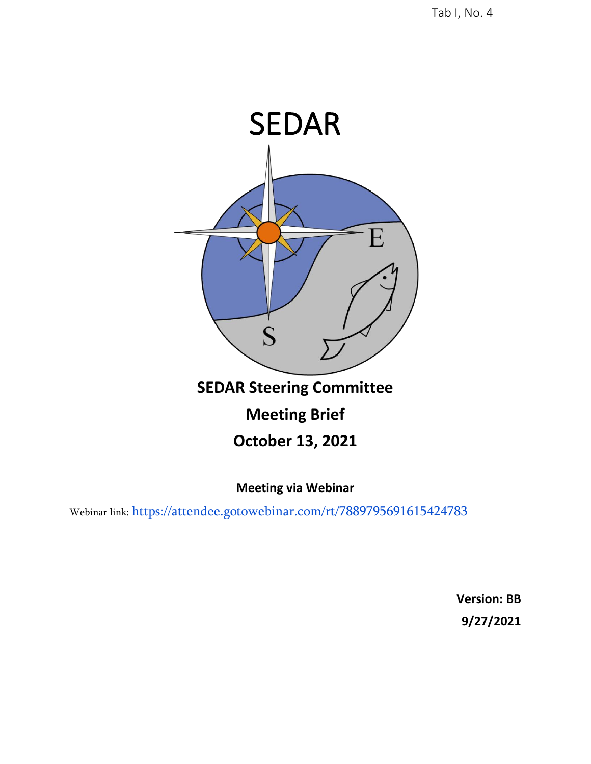

## **SEDAR Steering Committee**

# **Meeting Brief**

## **October 13, 2021**

**Meeting via Webinar**

Webinar link: <https://attendee.gotowebinar.com/rt/7889795691615424783>

**[Version: BB](https://attendee.gotowebinar.com/rt/7889795691615424783) [9/27/2021](https://attendee.gotowebinar.com/rt/7889795691615424783)**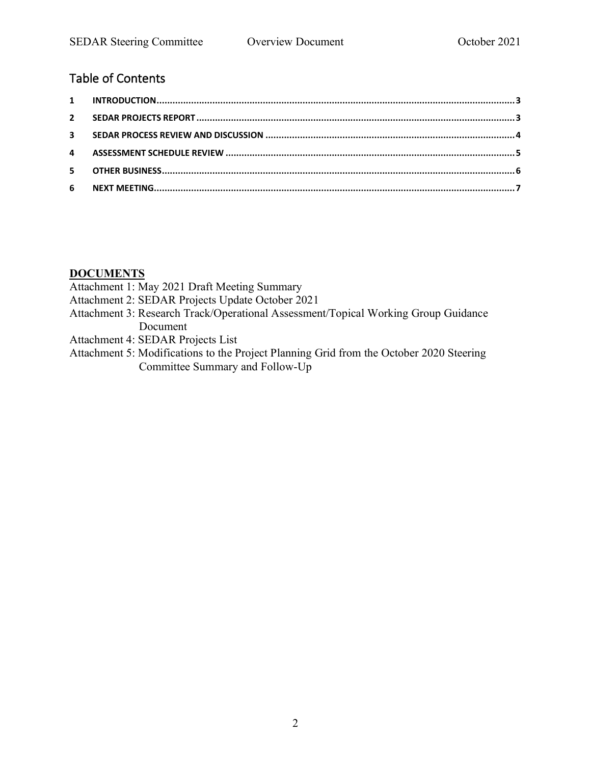## [Table of Contents](https://attendee.gotowebinar.com/rt/7889795691615424783)

#### **DOCUMENTS**

Attachment 1: May 2021 Draft Meeting Summary

- Attachment 2: SEDAR Projects Update October 2021
- Attachment 3: Research Track/Operational Assessment/Topical Working Group Guidance Document
- Attachment 4: SEDAR Projects List
- Attachment 5: Modifications to the Project Planning Grid from the October 2020 Steering Committee Summary and Follow-Up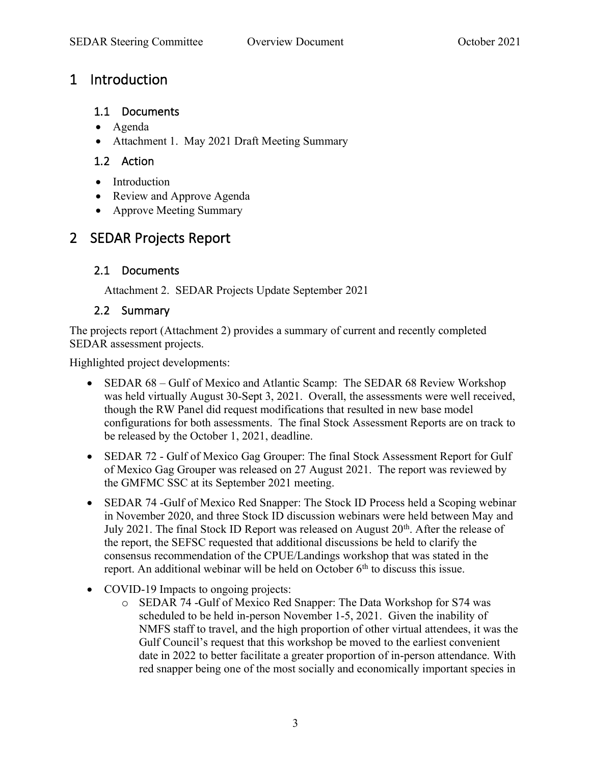## <span id="page-2-0"></span>1 Introduction

#### <span id="page-2-2"></span>1.1 Documents

- Agenda
- Attachment 1. May 2021 Draft Meeting Summary

#### 1.2 Action

- Introduction
- Review and Approve Agenda
- Approve Meeting Summary

## <span id="page-2-1"></span>2 SEDAR Projects Report

### 2.1 Documents

<span id="page-2-3"></span>Attachment 2. SEDAR Projects Update September 2021

### 2.2 Summary

The projects report (Attachment 2) provides a summary of current and recently completed SEDAR assessment projects.

Highlighted project developments:

- SEDAR 68 Gulf of Mexico and Atlantic Scamp: The SEDAR 68 Review Workshop was held virtually August 30-Sept 3, 2021. Overall, the assessments were well received, though the RW Panel did request modifications that resulted in new base model configurations for both assessments. The final Stock Assessment Reports are on track to be released by the October 1, 2021, deadline.
- SEDAR 72 Gulf of Mexico Gag Grouper: The final Stock Assessment Report for Gulf of Mexico Gag Grouper was released on 27 August 2021. The report was reviewed by the GMFMC SSC at its September 2021 meeting.
- SEDAR 74 -Gulf of Mexico Red Snapper: The Stock ID Process held a Scoping webinar in November 2020, and three Stock ID discussion webinars were held between May and July 2021. The final Stock ID Report was released on August  $20<sup>th</sup>$ . After the release of the report, the SEFSC requested that additional discussions be held to clarify the consensus recommendation of the CPUE/Landings workshop that was stated in the report. An additional webinar will be held on October  $6<sup>th</sup>$  to discuss this issue.
- COVID-19 Impacts to ongoing projects:
	- o SEDAR 74 -Gulf of Mexico Red Snapper: The Data Workshop for S74 was scheduled to be held in-person November 1-5, 2021. Given the inability of NMFS staff to travel, and the high proportion of other virtual attendees, it was the Gulf Council's request that this workshop be moved to the earliest convenient date in 2022 to better facilitate a greater proportion of in-person attendance. With red snapper being one of the most socially and economically important species in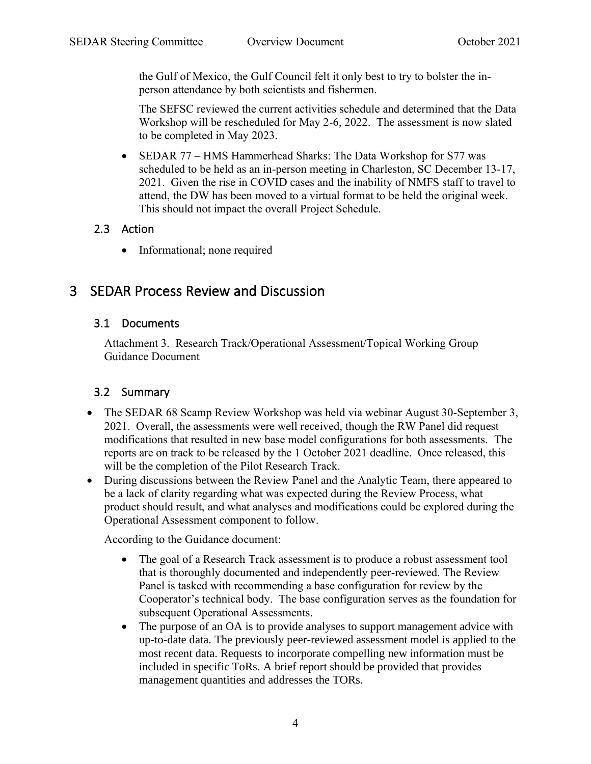the Gulf of Mexico, the Gulf Council felt it only best to try to bolster the inperson attendance by both scientists and fishermen.

The SEFSC reviewed the current activities schedule and determined that the Data Workshop will be rescheduled for May 2-6, 2022. The assessment is now slated to be completed in May 2023.

• SEDAR 77 – HMS Hammerhead Sharks: The Data Workshop for S77 was scheduled to be held as an in-person meeting in Charleston, SC December 13-17, 2021. Given the rise in COVID cases and the inability of NMFS staff to travel to attend, the DW has been moved to a virtual format to be held the original week. This should not impact the overall Project Schedule.

### 2.3 Action

<span id="page-3-1"></span>• Informational; none required

## <span id="page-3-0"></span>3 SEDAR Process Review and Discussion

### 3.1 Documents

Attachment 3. Research Track/Operational Assessment/Topical Working Group Guidance Document

## 3.2 Summary

- The SEDAR 68 Scamp Review Workshop was held via webinar August 30-September 3, 2021. Overall, the assessments were well received, though the RW Panel did request modifications that resulted in new base model configurations for both assessments. The reports are on track to be released by the 1 October 2021 deadline. Once released, this will be the completion of the Pilot Research Track.
- During discussions between the Review Panel and the Analytic Team, there appeared to be a lack of clarity regarding what was expected during the Review Process, what product should result, and what analyses and modifications could be explored during the Operational Assessment component to follow.

According to the Guidance document:

- The goal of a Research Track assessment is to produce a robust assessment tool that is thoroughly documented and independently peer-reviewed. The Review Panel is tasked with recommending a base configuration for review by the Cooperator's technical body. The base configuration serves as the foundation for subsequent Operational Assessments.
- The purpose of an OA is to provide analyses to support management advice with up-to-date data. The previously peer-reviewed assessment model is applied to the most recent data. Requests to incorporate compelling new information must be included in specific ToRs. A brief report should be provided that provides management quantities and addresses the TORs.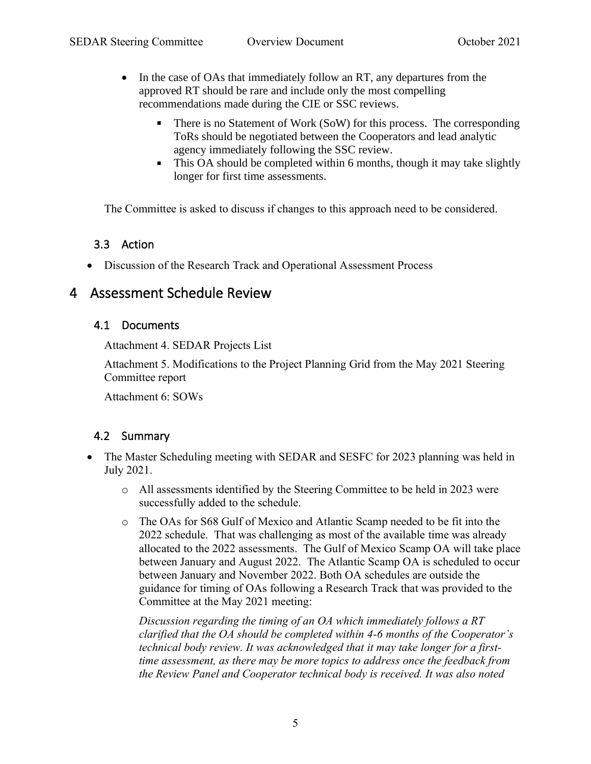- In the case of OAs that immediately follow an RT, any departures from the approved RT should be rare and include only the most compelling recommendations made during the CIE or SSC reviews.
	- There is no Statement of Work (SoW) for this process. The corresponding ToRs should be negotiated between the Cooperators and lead analytic agency immediately following the SSC review.
	- This OA should be completed within 6 months, though it may take slightly longer for first time assessments.

The Committee is asked to discuss if changes to this approach need to be considered.

#### 3.3 Action

• Discussion of the Research Track and Operational Assessment Process

## <span id="page-4-0"></span>4 Assessment Schedule Review

#### 4.1 Documents

<span id="page-4-1"></span>Attachment 4. SEDAR Projects List

Attachment 5. Modifications to the Project Planning Grid from the May 2021 Steering Committee report

Attachment 6: SOWs

#### 4.2 Summary

- The Master Scheduling meeting with SEDAR and SESFC for 2023 planning was held in July 2021.
	- o All assessments identified by the Steering Committee to be held in 2023 were successfully added to the schedule.
	- o The OAs for S68 Gulf of Mexico and Atlantic Scamp needed to be fit into the 2022 schedule. That was challenging as most of the available time was already allocated to the 2022 assessments. The Gulf of Mexico Scamp OA will take place between January and August 2022. The Atlantic Scamp OA is scheduled to occur between January and November 2022. Both OA schedules are outside the guidance for timing of OAs following a Research Track that was provided to the Committee at the May 2021 meeting:

*Discussion regarding the timing of an OA which immediately follows a RT clarified that the OA should be completed within 4-6 months of the Cooperator's technical body review. It was acknowledged that it may take longer for a firsttime assessment, as there may be more topics to address once the feedback from the Review Panel and Cooperator technical body is received. It was also noted*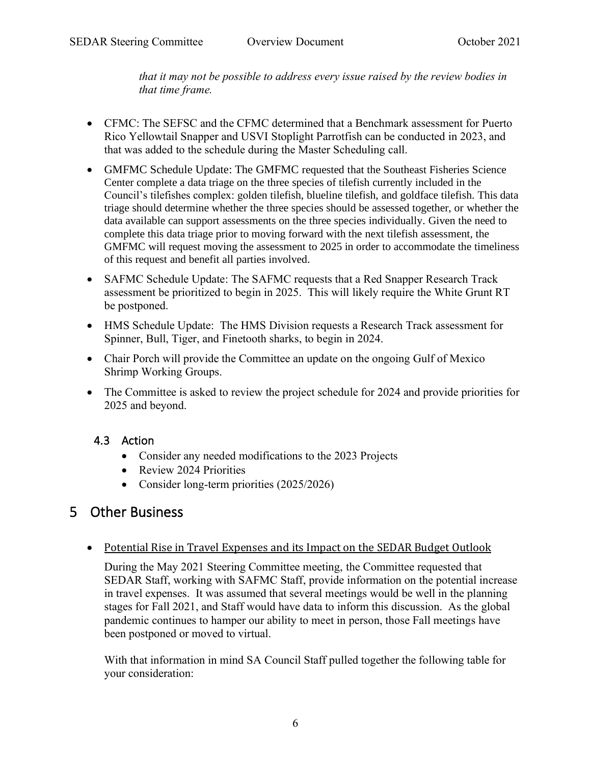*that it may not be possible to address every issue raised by the review bodies in that time frame.* 

- CFMC: The SEFSC and the CFMC determined that a Benchmark assessment for Puerto Rico Yellowtail Snapper and USVI Stoplight Parrotfish can be conducted in 2023, and that was added to the schedule during the Master Scheduling call.
- GMFMC Schedule Update: The GMFMC requested that the Southeast Fisheries Science Center complete a data triage on the three species of tilefish currently included in the Council's tilefishes complex: golden tilefish, blueline tilefish, and goldface tilefish. This data triage should determine whether the three species should be assessed together, or whether the data available can support assessments on the three species individually. Given the need to complete this data triage prior to moving forward with the next tilefish assessment, the GMFMC will request moving the assessment to 2025 in order to accommodate the timeliness of this request and benefit all parties involved.
- SAFMC Schedule Update: The SAFMC requests that a Red Snapper Research Track assessment be prioritized to begin in 2025. This will likely require the White Grunt RT be postponed.
- HMS Schedule Update: The HMS Division requests a Research Track assessment for Spinner, Bull, Tiger, and Finetooth sharks, to begin in 2024.
- Chair Porch will provide the Committee an update on the ongoing Gulf of Mexico Shrimp Working Groups.
- The Committee is asked to review the project schedule for 2024 and provide priorities for 2025 and beyond.

### 4.3 Action

- Consider any needed modifications to the 2023 Projects
- Review 2024 Priorities
- <span id="page-5-1"></span>• Consider long-term priorities (2025/2026)

## <span id="page-5-0"></span>5 Other Business

#### • Potential Rise in Travel Expenses and its Impact on the SEDAR Budget Outlook

During the May 2021 Steering Committee meeting, the Committee requested that SEDAR Staff, working with SAFMC Staff, provide information on the potential increase in travel expenses. It was assumed that several meetings would be well in the planning stages for Fall 2021, and Staff would have data to inform this discussion. As the global pandemic continues to hamper our ability to meet in person, those Fall meetings have been postponed or moved to virtual.

With that information in mind SA Council Staff pulled together the following table for your consideration: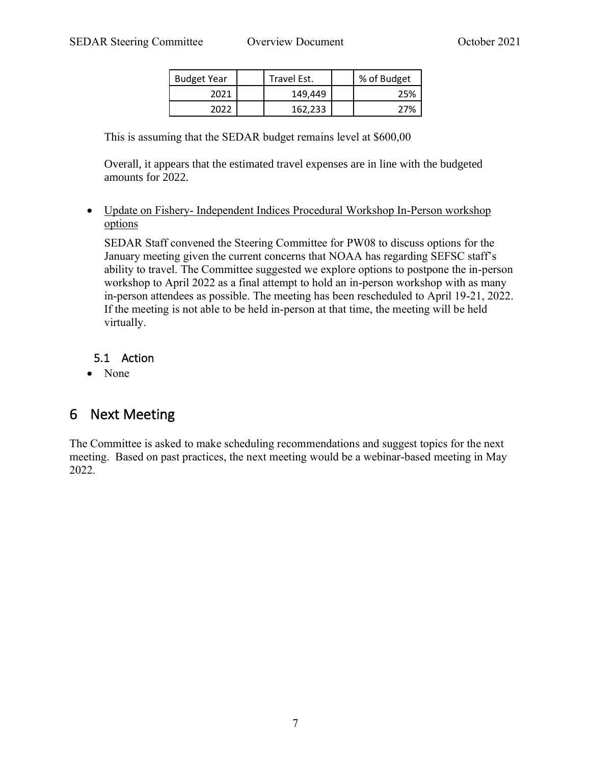| <b>Budget Year</b> | Travel Est. | % of Budget |
|--------------------|-------------|-------------|
| 2021               | 149.449     | 25%         |
| วกวว               | 162.233     | 77%         |

This is assuming that the SEDAR budget remains level at \$600,00

Overall, it appears that the estimated travel expenses are in line with the budgeted amounts for 2022.

#### • Update on Fishery- Independent Indices Procedural Workshop In-Person workshop options

SEDAR Staff convened the Steering Committee for PW08 to discuss options for the January meeting given the current concerns that NOAA has regarding SEFSC staff's ability to travel. The Committee suggested we explore options to postpone the in-person workshop to April 2022 as a final attempt to hold an in-person workshop with as many in-person attendees as possible. The meeting has been rescheduled to April 19-21, 2022. If the meeting is not able to be held in-person at that time, the meeting will be held virtually.

#### 5.1 Action

<span id="page-6-1"></span>• None

## <span id="page-6-0"></span>6 Next Meeting

The Committee is asked to make scheduling recommendations and suggest topics for the next meeting. Based on past practices, the next meeting would be a webinar-based meeting in May 2022.